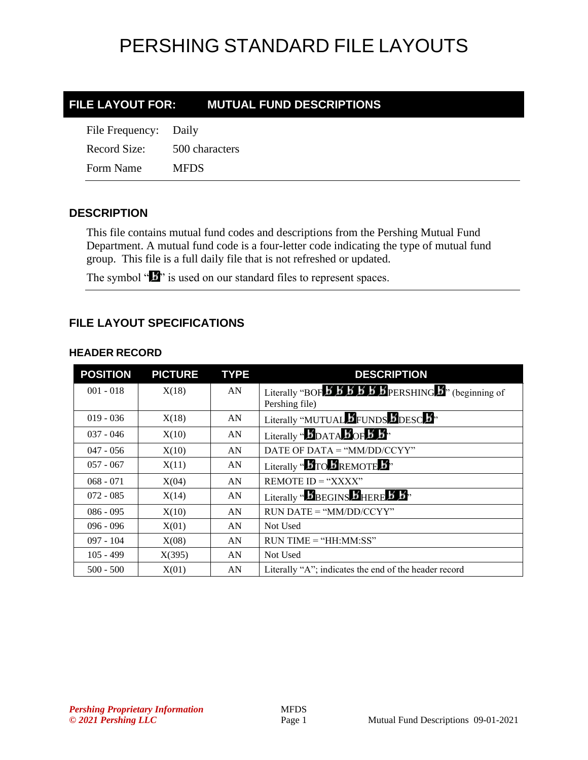#### **FILE LAYOUT FOR: MUTUAL FUND DESCRIPTIONS**

| File Frequency: Daily |                |
|-----------------------|----------------|
| Record Size:          | 500 characters |
| Form Name             | <b>MFDS</b>    |

#### **DESCRIPTION**

This file contains mutual fund codes and descriptions from the Pershing Mutual Fund Department. A mutual fund code is a four-letter code indicating the type of mutual fund group. This file is a full daily file that is not refreshed or updated.

The symbol "**I**<sup>\*</sup> is used on our standard files to represent spaces.

#### **FILE LAYOUT SPECIFICATIONS**

#### **HEADER RECORD**

| <b>POSITION</b> | <b>PICTURE</b> | <b>TYPE</b> | <b>DESCRIPTION</b>                                                                                                                               |
|-----------------|----------------|-------------|--------------------------------------------------------------------------------------------------------------------------------------------------|
| $001 - 018$     | X(18)          | AN          | Literally "BOF $\overline{B}$ $\overline{B}$ $\overline{B}$ $\overline{B}$ $\overline{B}$ $\overline{B}$ PERSHING $\overline{B}$ " (beginning of |
|                 |                |             | Pershing file)                                                                                                                                   |
| $019 - 036$     | X(18)          | AN          | Literally "MUTUAL FUNDS DDESC 3"                                                                                                                 |
| $037 - 046$     | X(10)          | AN          | Literally " $\bm{b}_{\text{DATA}}$ $\bm{b}_{\text{OF}}$ $\bm{b}$ $\bm{b}$ "                                                                      |
| $047 - 056$     | X(10)          | AN          | DATE OF DATA = "MM/DD/CCYY"                                                                                                                      |
| $057 - 067$     | X(11)          | AN          | Literally " <b>BTO BREMOTE B</b> "                                                                                                               |
| $068 - 071$     | X(04)          | AN          | REMOTE $ID = "XXX"$                                                                                                                              |
| $072 - 085$     | X(14)          | AN          | Literally " $\boldsymbol{b}$ BEGINS $\boldsymbol{b}$ HERE $\boldsymbol{b}$ $\boldsymbol{b}$ "                                                    |
| $086 - 095$     | X(10)          | AN          | $RUN\ DATE = "MM/DD/CCYY"$                                                                                                                       |
| $096 - 096$     | X(01)          | AN          | Not Used                                                                                                                                         |
| $097 - 104$     | X(08)          | AN          | $RUN TIME = "HH:MM:SS"$                                                                                                                          |
| $105 - 499$     | X(395)         | AN          | Not Used                                                                                                                                         |
| $500 - 500$     | X(01)          | AN          | Literally "A"; indicates the end of the header record                                                                                            |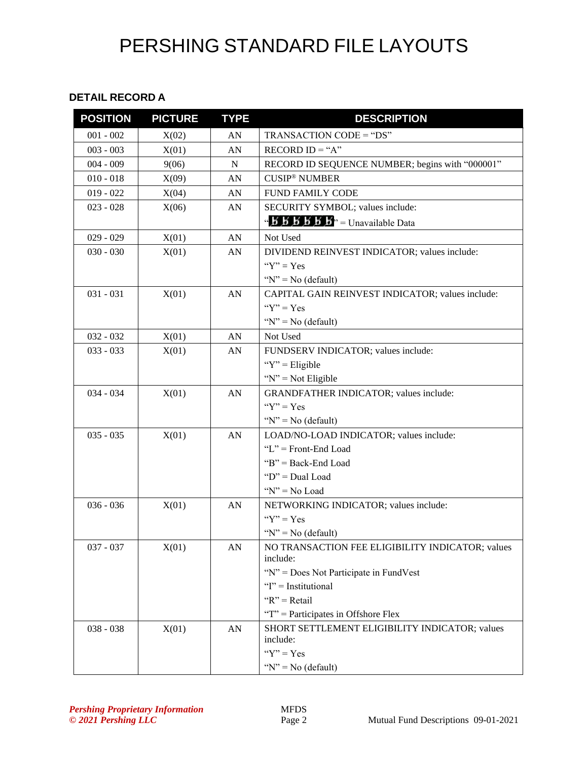#### **DETAIL RECORD A**

| <b>POSITION</b> | <b>PICTURE</b> | <b>TYPE</b> | <b>DESCRIPTION</b>                                                                         |
|-----------------|----------------|-------------|--------------------------------------------------------------------------------------------|
| $001 - 002$     | X(02)          | AN          | TRANSACTION CODE = "DS"                                                                    |
| $003 - 003$     | X(01)          | AN          | RECORD $ID = "A"$                                                                          |
| $004 - 009$     | 9(06)          | N           | RECORD ID SEQUENCE NUMBER; begins with "000001"                                            |
| $010 - 018$     | X(09)          | AN          | <b>CUSIP<sup>®</sup> NUMBER</b>                                                            |
| $019 - 022$     | X(04)          | AN          | <b>FUND FAMILY CODE</b>                                                                    |
| $023 - 028$     | X(06)          | AN          | SECURITY SYMBOL; values include:                                                           |
|                 |                |             | " $\mathbf{B} \mathbf{B} \mathbf{B} \mathbf{B} \mathbf{B} \mathbf{B}$ " = Unavailable Data |
| $029 - 029$     | X(01)          | AN          | Not Used                                                                                   |
| $030 - 030$     | X(01)          | AN          | DIVIDEND REINVEST INDICATOR; values include:                                               |
|                 |                |             | " $Y$ " = Yes                                                                              |
|                 |                |             | " $N$ " = No (default)                                                                     |
| $031 - 031$     | X(01)          | AN          | CAPITAL GAIN REINVEST INDICATOR; values include:                                           |
|                 |                |             | " $Y$ " = Yes                                                                              |
|                 |                |             | " $N$ " = No (default)                                                                     |
| $032 - 032$     | X(01)          | AN          | Not Used                                                                                   |
| $033 - 033$     | X(01)          | AN          | FUNDSERV INDICATOR; values include:                                                        |
|                 |                |             | " $Y$ " = Eligible                                                                         |
|                 |                |             | " $N$ " = Not Eligible                                                                     |
| $034 - 034$     | X(01)          | AN          | GRANDFATHER INDICATOR; values include:                                                     |
|                 |                |             | " $Y$ " = Yes                                                                              |
|                 |                |             | " $N$ " = No (default)                                                                     |
| $035 - 035$     | X(01)          | AN          | LOAD/NO-LOAD INDICATOR; values include:                                                    |
|                 |                |             | "L" = $Front$ -End Load                                                                    |
|                 |                |             | " $B$ " = Back-End Load                                                                    |
|                 |                |             | " $D$ " = Dual Load                                                                        |
|                 |                |             | " $N$ " = No Load                                                                          |
| $036 - 036$     | X(01)          | AN          | NETWORKING INDICATOR; values include:                                                      |
|                 |                |             | " $Y$ " = Yes                                                                              |
|                 |                |             | " $N$ " = No (default)                                                                     |
| $037 - 037$     | X(01)          | AN          | NO TRANSACTION FEE ELIGIBILITY INDICATOR; values                                           |
|                 |                |             | include:<br>" $N$ " = Does Not Participate in FundVest                                     |
|                 |                |             | "I" = Institutional                                                                        |
|                 |                |             | " $R$ " = Retail                                                                           |
|                 |                |             | " $T$ " = Participates in Offshore Flex                                                    |
| $038 - 038$     | X(01)          | AN          | SHORT SETTLEMENT ELIGIBILITY INDICATOR; values                                             |
|                 |                |             | include:                                                                                   |
|                 |                |             | " $Y$ " = Yes                                                                              |
|                 |                |             | " $N$ " = No (default)                                                                     |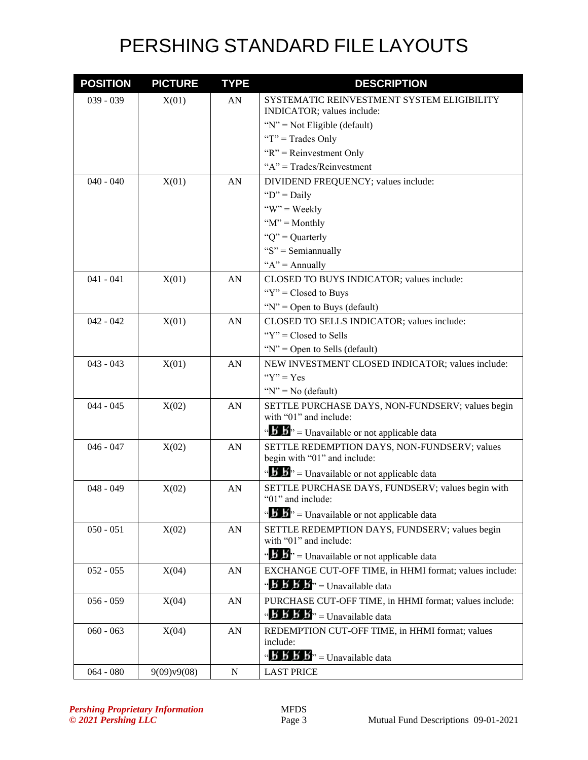| <b>POSITION</b> | <b>PICTURE</b> | <b>TYPE</b> | <b>DESCRIPTION</b>                                                                            |
|-----------------|----------------|-------------|-----------------------------------------------------------------------------------------------|
| $039 - 039$     | X(01)          | AN          | SYSTEMATIC REINVESTMENT SYSTEM ELIGIBILITY                                                    |
|                 |                |             | INDICATOR; values include:                                                                    |
|                 |                |             | " $N$ " = Not Eligible (default)                                                              |
|                 |                |             | "T" = Trades Only                                                                             |
|                 |                |             | " $R$ " = Reinvestment Only                                                                   |
|                 |                |             | " $A$ " = Trades/Reinvestment                                                                 |
| $040 - 040$     | X(01)          | AN          | DIVIDEND FREQUENCY; values include:                                                           |
|                 |                |             | " $D$ " = Daily                                                                               |
|                 |                |             | " $W$ " = Weekly                                                                              |
|                 |                |             | " $M$ " = Monthly                                                                             |
|                 |                |             | " $Q$ " = Quarterly                                                                           |
|                 |                |             | " $S$ " = Semiannually                                                                        |
|                 |                |             | " $A$ " = Annually                                                                            |
| $041 - 041$     | X(01)          | AN          | CLOSED TO BUYS INDICATOR; values include:                                                     |
|                 |                |             | " $Y$ " = Closed to Buys                                                                      |
|                 |                |             | " $N$ " = Open to Buys (default)                                                              |
| $042 - 042$     | X(01)          | AN          | CLOSED TO SELLS INDICATOR; values include:                                                    |
|                 |                |             | " $Y$ " = Closed to Sells"                                                                    |
|                 |                |             | " $N$ " = Open to Sells (default)                                                             |
| $043 - 043$     | X(01)          | AN          | NEW INVESTMENT CLOSED INDICATOR; values include:                                              |
|                 |                |             | " $Y$ " = $Yes$                                                                               |
|                 |                |             | " $N$ " = No (default)                                                                        |
| $044 - 045$     | X(02)          | AN          | SETTLE PURCHASE DAYS, NON-FUNDSERV; values begin<br>with "01" and include:                    |
|                 |                |             | " $\mathbf{B} \cdot \mathbf{S}$ " = Unavailable or not applicable data                        |
| $046 - 047$     | X(02)          | AN          | SETTLE REDEMPTION DAYS, NON-FUNDSERV; values                                                  |
|                 |                |             | begin with "01" and include:                                                                  |
|                 |                |             | " $\mathbf{B}$ " = Unavailable or not applicable data                                         |
| $048 - 049$     | X(02)          | AN          | SETTLE PURCHASE DAYS, FUNDSERV; values begin with                                             |
|                 |                |             | "01" and include:                                                                             |
|                 |                |             | " $\mathbf{B}$ " = Unavailable or not applicable data                                         |
| $050 - 051$     | X(02)          | AN          | SETTLE REDEMPTION DAYS, FUNDSERV; values begin                                                |
|                 |                |             | with "01" and include:                                                                        |
|                 |                |             | " S <sup>3</sup> " = Unavailable or not applicable data                                       |
| $052 - 055$     | X(04)          | AN          | EXCHANGE CUT-OFF TIME, in HHMI format; values include:                                        |
|                 |                |             | $\mathbf{A} \cdot \mathbf{B} \cdot \mathbf{B}$ $\mathbf{B}$ <sup>3</sup> = Unavailable data   |
| $056 - 059$     | X(04)          | AN          | PURCHASE CUT-OFF TIME, in HHMI format; values include:                                        |
|                 |                |             | $\mathbf{B} \times \mathbf{B}$ $\mathbf{B} \times \mathbf{B}$ <sup>3</sup> = Unavailable data |
| $060 - 063$     | X(04)          | AN          | REDEMPTION CUT-OFF TIME, in HHMI format; values                                               |
|                 |                |             | include:                                                                                      |
|                 |                |             | $\mathbf{A} \mathbf{B} \mathbf{B} \mathbf{B} \mathbf{B}$ <sup>3</sup> = Unavailable data      |
| $064 - 080$     | 9(09)v9(08)    | N           | <b>LAST PRICE</b>                                                                             |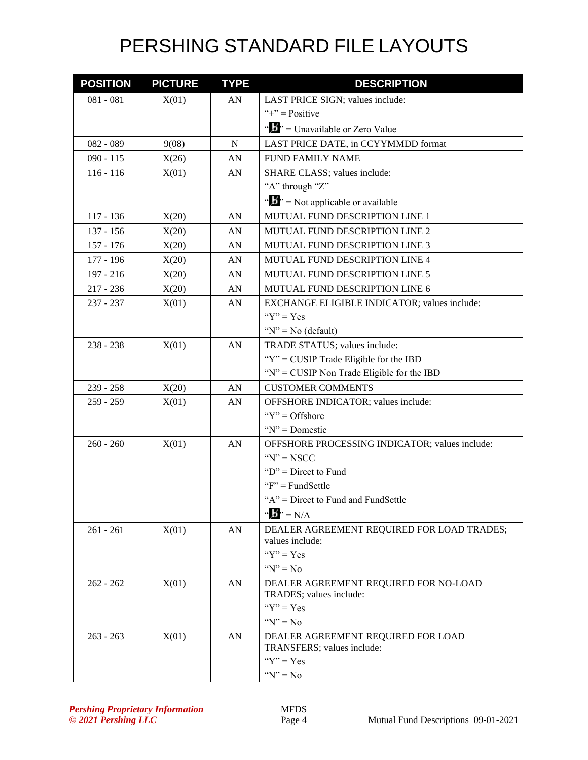| <b>POSITION</b> | <b>PICTURE</b> | <b>TYPE</b> | <b>DESCRIPTION</b>                                            |
|-----------------|----------------|-------------|---------------------------------------------------------------|
| $081 - 081$     | X(01)          | AN          | LAST PRICE SIGN; values include:                              |
|                 |                |             | "+" = $Positive$                                              |
|                 |                |             | " $\mathbf{F}$ " = Unavailable or Zero Value                  |
| $082 - 089$     | 9(08)          | N           | LAST PRICE DATE, in CCYYMMDD format                           |
| $090 - 115$     | X(26)          | AN          | <b>FUND FAMILY NAME</b>                                       |
| $116 - 116$     | X(01)          | AN          | SHARE CLASS; values include:                                  |
|                 |                |             | "A" through "Z"                                               |
|                 |                |             | " $\mathbf{F}$ " = Not applicable or available                |
| $117 - 136$     | X(20)          | AN          | MUTUAL FUND DESCRIPTION LINE 1                                |
| $137 - 156$     | X(20)          | AN          | MUTUAL FUND DESCRIPTION LINE 2                                |
| $157 - 176$     | X(20)          | AN          | MUTUAL FUND DESCRIPTION LINE 3                                |
| 177 - 196       | X(20)          | AN          | MUTUAL FUND DESCRIPTION LINE 4                                |
| 197 - 216       | X(20)          | AN          | MUTUAL FUND DESCRIPTION LINE 5                                |
| $217 - 236$     | X(20)          | AN          | MUTUAL FUND DESCRIPTION LINE 6                                |
| 237 - 237       | X(01)          | AN          | EXCHANGE ELIGIBLE INDICATOR; values include:                  |
|                 |                |             | " $Y$ " = Yes                                                 |
|                 |                |             | " $N$ " = No (default)                                        |
| 238 - 238       | X(01)          | AN          | TRADE STATUS; values include:                                 |
|                 |                |             | " $Y$ " = CUSIP Trade Eligible for the IBD                    |
|                 |                |             | "N" = CUSIP Non Trade Eligible for the IBD                    |
| $239 - 258$     | X(20)          | AN          | <b>CUSTOMER COMMENTS</b>                                      |
| $259 - 259$     | X(01)          | AN          | OFFSHORE INDICATOR; values include:                           |
|                 |                |             | " $Y$ " = Offshore"                                           |
|                 |                |             | " $N$ " = Domestic                                            |
| $260 - 260$     | X(01)          | AN          | OFFSHORE PROCESSING INDICATOR; values include:                |
|                 |                |             | $Y' = NSCC$                                                   |
|                 |                |             | " $D$ " = Direct to Fund                                      |
|                 |                |             | $F' = FundSettle$                                             |
|                 |                |             | "A" = Direct to Fund and FundSettle                           |
|                 |                |             | $\mathbf{w} \cdot \mathbf{B}$ <sup>*</sup> = N/A              |
| $261 - 261$     | X(01)          | AN          | DEALER AGREEMENT REQUIRED FOR LOAD TRADES;<br>values include: |
|                 |                |             | " $Y$ " = Yes                                                 |
|                 |                |             | " $N$ " = No                                                  |
| $262 - 262$     | X(01)          | AN          | DEALER AGREEMENT REQUIRED FOR NO-LOAD                         |
|                 |                |             | TRADES; values include:                                       |
|                 |                |             | " $Y$ " = Yes                                                 |
|                 |                |             | " $N$ " = No                                                  |
| $263 - 263$     | X(01)          | AN          | DEALER AGREEMENT REQUIRED FOR LOAD                            |
|                 |                |             | TRANSFERS; values include:                                    |
|                 |                |             | " $Y$ " = Yes                                                 |
|                 |                |             | $Y' = No$                                                     |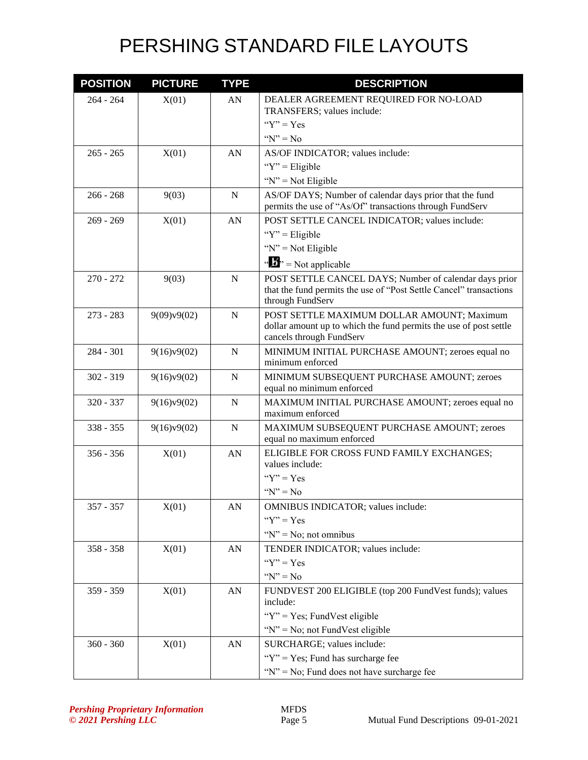| <b>POSITION</b> | <b>PICTURE</b> | <b>TYPE</b>      | <b>DESCRIPTION</b>                                                                                                                               |
|-----------------|----------------|------------------|--------------------------------------------------------------------------------------------------------------------------------------------------|
| $264 - 264$     | X(01)          | AN               | DEALER AGREEMENT REQUIRED FOR NO-LOAD                                                                                                            |
|                 |                |                  | TRANSFERS; values include:                                                                                                                       |
|                 |                |                  | " $Y$ " = Yes                                                                                                                                    |
|                 |                |                  | " $N$ " = No                                                                                                                                     |
| $265 - 265$     | X(01)          | AN               | AS/OF INDICATOR; values include:                                                                                                                 |
|                 |                |                  | " $Y$ " = Eligible                                                                                                                               |
|                 |                |                  | " $N$ " = Not Eligible                                                                                                                           |
| $266 - 268$     | 9(03)          | $\mathbf N$      | AS/OF DAYS; Number of calendar days prior that the fund<br>permits the use of "As/Of" transactions through FundServ                              |
| $269 - 269$     | X(01)          | AN               | POST SETTLE CANCEL INDICATOR; values include:                                                                                                    |
|                 |                |                  | " $Y$ " = Eligible                                                                                                                               |
|                 |                |                  | " $N$ " = Not Eligible                                                                                                                           |
|                 |                |                  | " $\mathbf{B}$ " = Not applicable                                                                                                                |
| $270 - 272$     | 9(03)          | $\mathbf N$      | POST SETTLE CANCEL DAYS; Number of calendar days prior<br>that the fund permits the use of "Post Settle Cancel" transactions<br>through FundServ |
| $273 - 283$     | 9(09)v9(02)    | $\mathbf N$      | POST SETTLE MAXIMUM DOLLAR AMOUNT; Maximum<br>dollar amount up to which the fund permits the use of post settle<br>cancels through FundServ      |
| $284 - 301$     | 9(16)v9(02)    | N                | MINIMUM INITIAL PURCHASE AMOUNT; zeroes equal no<br>minimum enforced                                                                             |
| $302 - 319$     | 9(16)v9(02)    | $\mathbf N$      | MINIMUM SUBSEQUENT PURCHASE AMOUNT; zeroes<br>equal no minimum enforced                                                                          |
| 320 - 337       | 9(16)v9(02)    | $\mathbf N$      | MAXIMUM INITIAL PURCHASE AMOUNT; zeroes equal no<br>maximum enforced                                                                             |
| $338 - 355$     | 9(16)v9(02)    | $\mathbf N$      | MAXIMUM SUBSEQUENT PURCHASE AMOUNT; zeroes<br>equal no maximum enforced                                                                          |
| $356 - 356$     | X(01)          | AN               | ELIGIBLE FOR CROSS FUND FAMILY EXCHANGES;<br>values include:                                                                                     |
|                 |                |                  | " $Y$ " = Yes                                                                                                                                    |
|                 |                |                  | $Y''N'' = No$                                                                                                                                    |
| $357 - 357$     | X(01)          | AN               | <b>OMNIBUS INDICATOR; values include:</b>                                                                                                        |
|                 |                |                  | " $Y$ " = Yes                                                                                                                                    |
|                 |                |                  | " $N$ " = No; not omnibus                                                                                                                        |
| $358 - 358$     | X(01)          | AN               | TENDER INDICATOR; values include:                                                                                                                |
|                 |                |                  | " $Y$ " = Yes                                                                                                                                    |
|                 |                |                  | " $N$ " = No                                                                                                                                     |
| 359 - 359       | X(01)          | AN               | FUNDVEST 200 ELIGIBLE (top 200 FundVest funds); values<br>include:                                                                               |
|                 |                |                  | " $Y$ " = Yes; FundVest eligible                                                                                                                 |
|                 |                |                  | "N" = No; not FundVest eligible                                                                                                                  |
| $360 - 360$     | X(01)          | ${\bf A}{\bf N}$ | SURCHARGE; values include:                                                                                                                       |
|                 |                |                  | " $Y$ " = Yes; Fund has surcharge fee                                                                                                            |
|                 |                |                  | " $N$ " = No; Fund does not have surcharge fee                                                                                                   |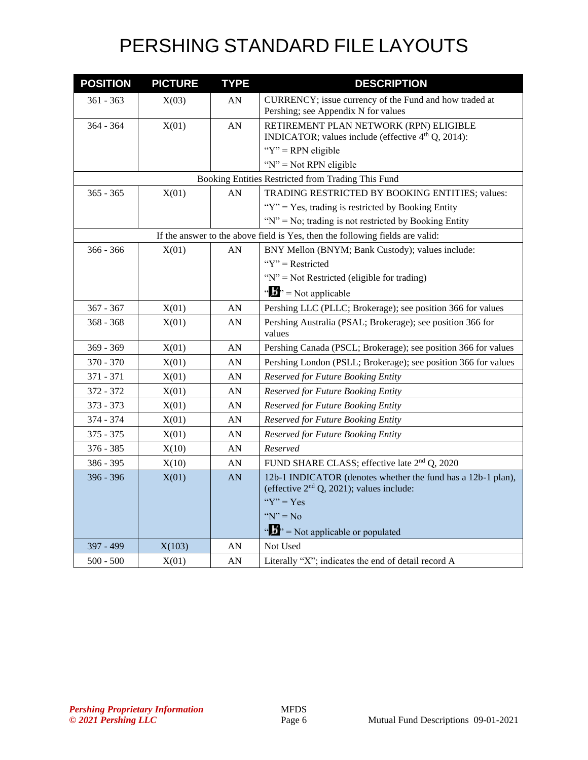| <b>POSITION</b> | <b>PICTURE</b> | <b>TYPE</b> | <b>DESCRIPTION</b>                                                            |
|-----------------|----------------|-------------|-------------------------------------------------------------------------------|
| 361 - 363       | X(03)          | AN          | CURRENCY; issue currency of the Fund and how traded at                        |
|                 |                |             | Pershing; see Appendix N for values                                           |
| $364 - 364$     | X(01)          | AN          | RETIREMENT PLAN NETWORK (RPN) ELIGIBLE                                        |
|                 |                |             | INDICATOR; values include (effective 4 <sup>th</sup> Q, 2014):                |
|                 |                |             | " $Y$ " = RPN eligible                                                        |
|                 |                |             | " $N$ " = Not RPN eligible                                                    |
|                 |                |             | Booking Entities Restricted from Trading This Fund                            |
| $365 - 365$     | X(01)          | AN          | TRADING RESTRICTED BY BOOKING ENTITIES; values:                               |
|                 |                |             | "Y" = Yes, trading is restricted by Booking Entity                            |
|                 |                |             | " $N$ " = No; trading is not restricted by Booking Entity                     |
|                 |                |             | If the answer to the above field is Yes, then the following fields are valid: |
| $366 - 366$     | X(01)          | AN          | BNY Mellon (BNYM; Bank Custody); values include:                              |
|                 |                |             | " $Y$ " = Restricted                                                          |
|                 |                |             | "N" = Not Restricted (eligible for trading)                                   |
|                 |                |             | $\mathbf{a} \cdot \mathbf{B}$ <sup>3</sup> = Not applicable                   |
| $367 - 367$     | X(01)          | AN          | Pershing LLC (PLLC; Brokerage); see position 366 for values                   |
| $368 - 368$     | X(01)          | AN          | Pershing Australia (PSAL; Brokerage); see position 366 for<br>values          |
| $369 - 369$     | X(01)          | AN          | Pershing Canada (PSCL; Brokerage); see position 366 for values                |
| 370 - 370       | X(01)          | AN          | Pershing London (PSLL; Brokerage); see position 366 for values                |
| 371 - 371       | X(01)          | AN          | Reserved for Future Booking Entity                                            |
| 372 - 372       | X(01)          | AN          | Reserved for Future Booking Entity                                            |
| 373 - 373       | X(01)          | AN          | Reserved for Future Booking Entity                                            |
| 374 - 374       | X(01)          | AN          | Reserved for Future Booking Entity                                            |
| $375 - 375$     | X(01)          | AN          | Reserved for Future Booking Entity                                            |
| $376 - 385$     | X(10)          | AN          | Reserved                                                                      |
| 386 - 395       | X(10)          | AN          | FUND SHARE CLASS; effective late 2 <sup>nd</sup> Q, 2020                      |
| 396 - 396       | X(01)          | AN          | 12b-1 INDICATOR (denotes whether the fund has a 12b-1 plan),                  |
|                 |                |             | (effective $2nd$ Q, 2021); values include:                                    |
|                 |                |             | " $Y$ " = Yes                                                                 |
|                 |                |             | " $N$ " = No                                                                  |
|                 |                |             | $\cdots$ $\cdots$ $\cdots$ Not applicable or populated                        |
| 397 - 499       | X(103)         | AN          | Not Used                                                                      |
| $500 - 500$     | X(01)          | AN          | Literally "X"; indicates the end of detail record A                           |